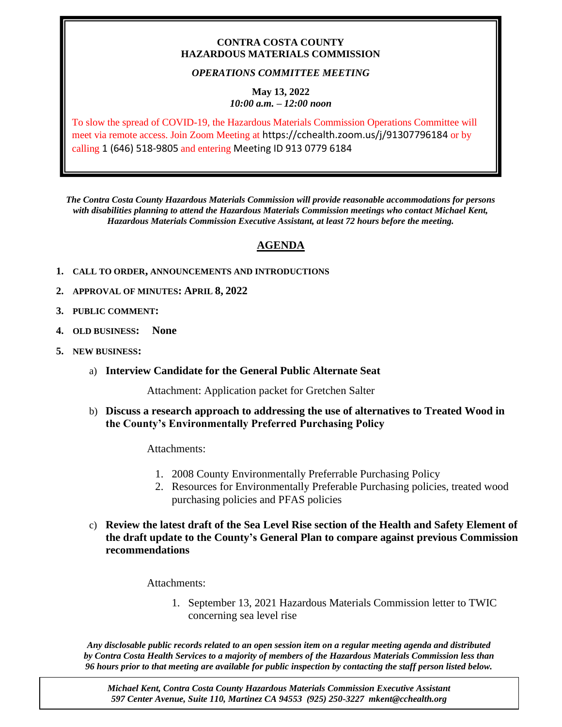### **CONTRA COSTA COUNTY HAZARDOUS MATERIALS COMMISSION**

## *OPERATIONS COMMITTEE MEETING*

#### **May 13, 2022** *10:00 a.m. – 12:00 noon*

To slow the spread of COVID-19, the Hazardous Materials Commission Operations Committee will meet via remote access. Join Zoom Meeting at https://cchealth.zoom.us/j/91307796184 or by calling 1 (646) 518-9805 and entering Meeting ID 913 0779 6184

*The Contra Costa County Hazardous Materials Commission will provide reasonable accommodations for persons with disabilities planning to attend the Hazardous Materials Commission meetings who contact Michael Kent, Hazardous Materials Commission Executive Assistant, at least 72 hours before the meeting.*

# **AGENDA**

- **1. CALL TO ORDER, ANNOUNCEMENTS AND INTRODUCTIONS**
- **2. APPROVAL OF MINUTES: APRIL 8, 2022**
- **3. PUBLIC COMMENT:**
- **4. OLD BUSINESS: None**
- **5. NEW BUSINESS:**
	- a) **Interview Candidate for the General Public Alternate Seat**

Attachment: Application packet for Gretchen Salter

b) **Discuss a research approach to addressing the use of alternatives to Treated Wood in the County's Environmentally Preferred Purchasing Policy**

Attachments:

- 1. 2008 County Environmentally Preferrable Purchasing Policy
- 2. Resources for Environmentally Preferable Purchasing policies, treated wood purchasing policies and PFAS policies
- c) **Review the latest draft of the Sea Level Rise section of the Health and Safety Element of the draft update to the County's General Plan to compare against previous Commission recommendations**

Attachments:

1. September 13, 2021 Hazardous Materials Commission letter to TWIC concerning sea level rise

*Any disclosable public records related to an open session item on a regular meeting agenda and distributed by Contra Costa Health Services to a majority of members of the Hazardous Materials Commission less than 96 hours prior to that meeting are available for public inspection by contacting the staff person listed below.* 

*Michael Kent, Contra Costa County Hazardous Materials Commission Executive Assistant 597 Center Avenue, Suite 110, Martinez CA 94553 (925) 250-3227 mkent@cchealth.org*